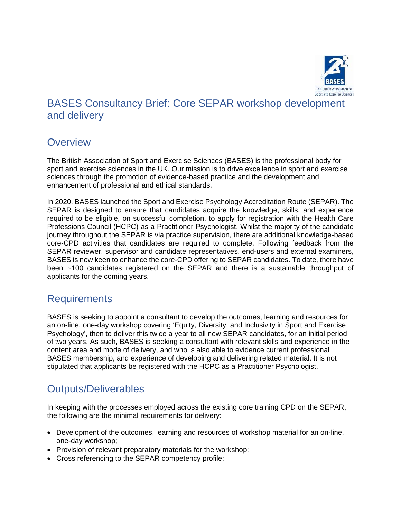

# BASES Consultancy Brief: Core SEPAR workshop development and delivery

### **Overview**

The British Association of Sport and Exercise Sciences (BASES) is the professional body for sport and exercise sciences in the UK. Our mission is to drive excellence in sport and exercise sciences through the promotion of evidence-based practice and the development and enhancement of professional and ethical standards.

In 2020, BASES launched the Sport and Exercise Psychology Accreditation Route (SEPAR). The SEPAR is designed to ensure that candidates acquire the knowledge, skills, and experience required to be eligible, on successful completion, to apply for registration with the Health Care Professions Council (HCPC) as a Practitioner Psychologist. Whilst the majority of the candidate journey throughout the SEPAR is via practice supervision, there are additional knowledge-based core-CPD activities that candidates are required to complete. Following feedback from the SEPAR reviewer, supervisor and candidate representatives, end-users and external examiners, BASES is now keen to enhance the core-CPD offering to SEPAR candidates. To date, there have been ~100 candidates registered on the SEPAR and there is a sustainable throughput of applicants for the coming years.

### **Requirements**

BASES is seeking to appoint a consultant to develop the outcomes, learning and resources for an on-line, one-day workshop covering 'Equity, Diversity, and Inclusivity in Sport and Exercise Psychology', then to deliver this twice a year to all new SEPAR candidates, for an initial period of two years. As such, BASES is seeking a consultant with relevant skills and experience in the content area and mode of delivery, and who is also able to evidence current professional BASES membership, and experience of developing and delivering related material. It is not stipulated that applicants be registered with the HCPC as a Practitioner Psychologist.

# Outputs/Deliverables

In keeping with the processes employed across the existing core training CPD on the SEPAR, the following are the minimal requirements for delivery:

- Development of the outcomes, learning and resources of workshop material for an on-line, one-day workshop;
- Provision of relevant preparatory materials for the workshop;
- Cross referencing to the SEPAR competency profile;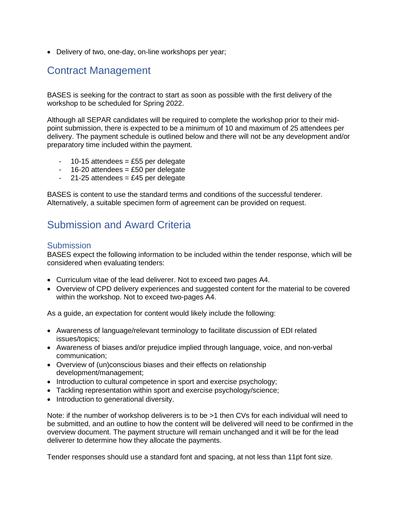• Delivery of two, one-day, on-line workshops per year;

# Contract Management

BASES is seeking for the contract to start as soon as possible with the first delivery of the workshop to be scheduled for Spring 2022.

Although all SEPAR candidates will be required to complete the workshop prior to their midpoint submission, there is expected to be a minimum of 10 and maximum of 25 attendees per delivery. The payment schedule is outlined below and there will not be any development and/or preparatory time included within the payment.

- $-10-15$  attendees = £55 per delegate
- $16-20$  attendees = £50 per delegate
- $-21-25$  attendees = £45 per delegate

BASES is content to use the standard terms and conditions of the successful tenderer. Alternatively, a suitable specimen form of agreement can be provided on request.

## Submission and Award Criteria

#### **Submission**

BASES expect the following information to be included within the tender response, which will be considered when evaluating tenders:

- Curriculum vitae of the lead deliverer. Not to exceed two pages A4.
- Overview of CPD delivery experiences and suggested content for the material to be covered within the workshop. Not to exceed two-pages A4.

As a guide, an expectation for content would likely include the following:

- Awareness of language/relevant terminology to facilitate discussion of EDI related issues/topics;
- Awareness of biases and/or prejudice implied through language, voice, and non-verbal communication;
- Overview of (un)conscious biases and their effects on relationship development/management;
- Introduction to cultural competence in sport and exercise psychology;
- Tackling representation within sport and exercise psychology/science;
- Introduction to generational diversity.

Note: if the number of workshop deliverers is to be >1 then CVs for each individual will need to be submitted, and an outline to how the content will be delivered will need to be confirmed in the overview document. The payment structure will remain unchanged and it will be for the lead deliverer to determine how they allocate the payments.

Tender responses should use a standard font and spacing, at not less than 11pt font size.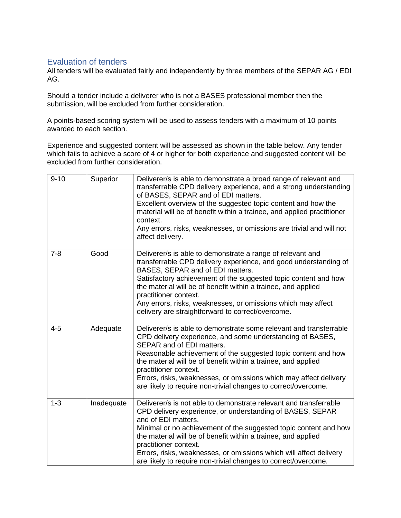#### Evaluation of tenders

All tenders will be evaluated fairly and independently by three members of the SEPAR AG / EDI AG.

Should a tender include a deliverer who is not a BASES professional member then the submission, will be excluded from further consideration.

A points-based scoring system will be used to assess tenders with a maximum of 10 points awarded to each section.

Experience and suggested content will be assessed as shown in the table below. Any tender which fails to achieve a score of 4 or higher for both experience and suggested content will be excluded from further consideration.

| $9 - 10$ | Superior   | Deliverer/s is able to demonstrate a broad range of relevant and<br>transferrable CPD delivery experience, and a strong understanding<br>of BASES, SEPAR and of EDI matters.<br>Excellent overview of the suggested topic content and how the<br>material will be of benefit within a trainee, and applied practitioner<br>context.<br>Any errors, risks, weaknesses, or omissions are trivial and will not<br>affect delivery.                                |
|----------|------------|----------------------------------------------------------------------------------------------------------------------------------------------------------------------------------------------------------------------------------------------------------------------------------------------------------------------------------------------------------------------------------------------------------------------------------------------------------------|
| $7 - 8$  | Good       | Deliverer/s is able to demonstrate a range of relevant and<br>transferrable CPD delivery experience, and good understanding of<br>BASES, SEPAR and of EDI matters.<br>Satisfactory achievement of the suggested topic content and how<br>the material will be of benefit within a trainee, and applied<br>practitioner context.<br>Any errors, risks, weaknesses, or omissions which may affect<br>delivery are straightforward to correct/overcome.           |
| $4 - 5$  | Adequate   | Deliverer/s is able to demonstrate some relevant and transferrable<br>CPD delivery experience, and some understanding of BASES,<br>SEPAR and of EDI matters.<br>Reasonable achievement of the suggested topic content and how<br>the material will be of benefit within a trainee, and applied<br>practitioner context.<br>Errors, risks, weaknesses, or omissions which may affect delivery<br>are likely to require non-trivial changes to correct/overcome. |
| $1 - 3$  | Inadequate | Deliverer/s is not able to demonstrate relevant and transferrable<br>CPD delivery experience, or understanding of BASES, SEPAR<br>and of EDI matters.<br>Minimal or no achievement of the suggested topic content and how<br>the material will be of benefit within a trainee, and applied<br>practitioner context.<br>Errors, risks, weaknesses, or omissions which will affect delivery<br>are likely to require non-trivial changes to correct/overcome.    |